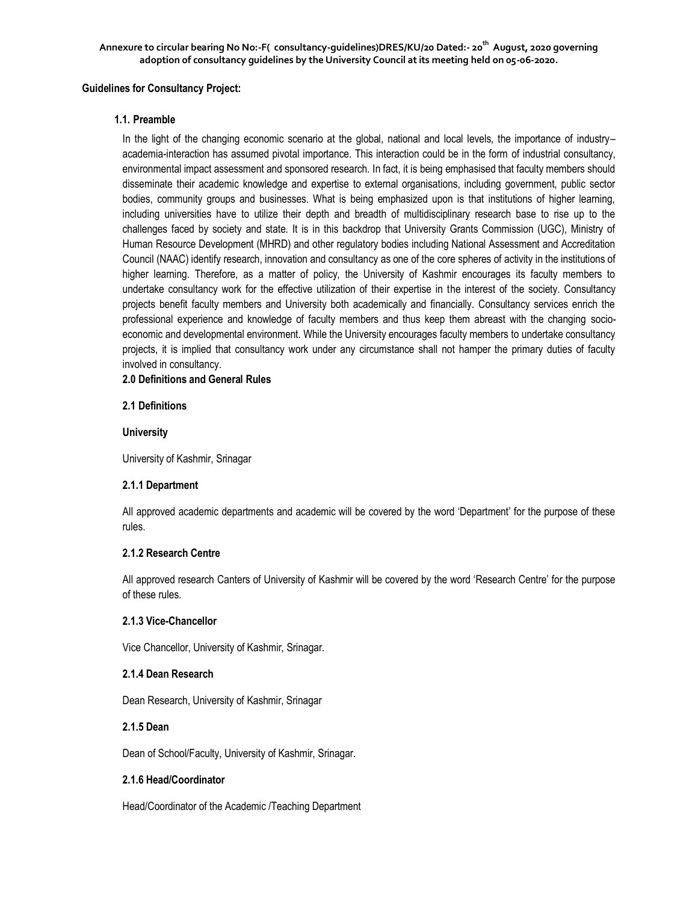## **Guidelines for Consultancy Project:**

# **1.1. Preamble**

In the light of the changing economic scenario at the global, national and local levels, the importance of industry– academia-interaction has assumed pivotal importance. This interaction could be in the form of industrial consultancy, environmental impact assessment and sponsored research. In fact, it is being emphasised that faculty members should disseminate their academic knowledge and expertise to external organisations, including government, public sector bodies, community groups and businesses. What is being emphasized upon is that institutions of higher learning, including universities have to utilize their depth and breadth of multidisciplinary research base to rise up to the challenges faced by society and state. It is in this backdrop that University Grants Commission (UGC), Ministry of Human Resource Development (MHRD) and other regulatory bodies including National Assessment and Accreditation Council (NAAC) identify research, innovation and consultancy as one of the core spheres of activity in the institutions of higher learning. Therefore, as a matter of policy, the University of Kashmir encourages its faculty members to undertake consultancy work for the effective utilization of their expertise in the interest of the society. Consultancy projects benefit faculty members and University both academically and financially. Consultancy services enrich the professional experience and knowledge of faculty members and thus keep them abreast with the changing socioeconomic and developmental environment. While the University encourages faculty members to undertake consultancy projects, it is implied that consultancy work under any circumstance shall not hamper the primary duties of faculty involved in consultancy.

# **2.0 Definitions and General Rules**

# **2.1 Definitions**

# **University**

University of Kashmir, Srinagar

### **2.1.1 Department**

All approved academic departments and academic will be covered by the word 'Department' for the purpose of these rules.

# **2.1.2 Research Centre**

All approved research Canters of University of Kashmir will be covered by the word 'Research Centre' for the purpose of these rules.

## **2.1.3 Vice-Chancellor**

Vice Chancellor, University of Kashmir, Srinagar.

### **2.1.4 Dean Research**

Dean Research, University of Kashmir, Srinagar

# **2.1.5 Dean**

Dean of School/Faculty, University of Kashmir, Srinagar.

# **2.1.6 Head/Coordinator**

Head/Coordinator of the Academic /Teaching Department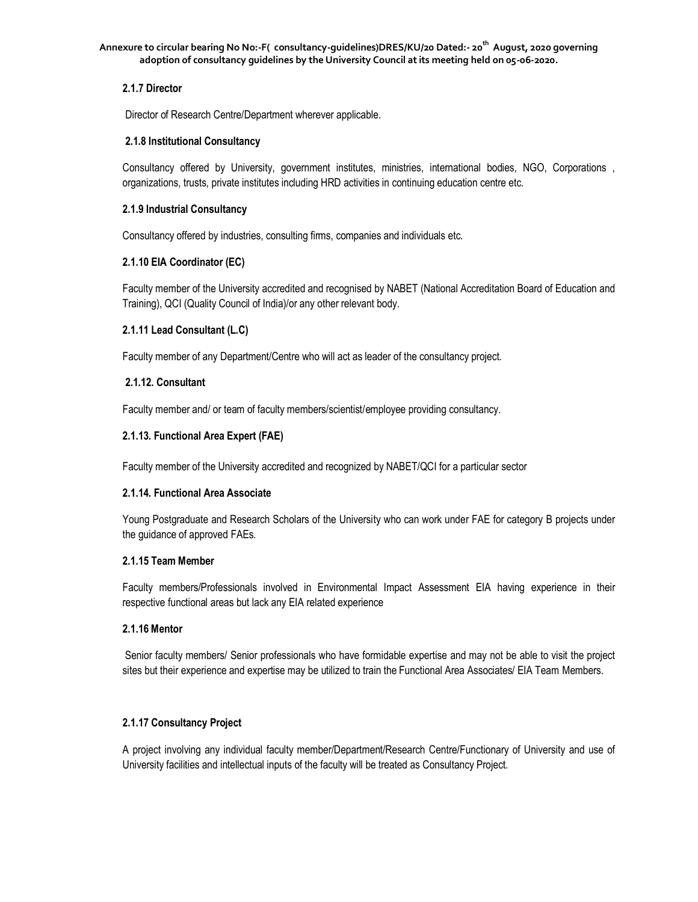# **2.1.7 Director**

Director of Research Centre/Department wherever applicable.

## **2.1.8 Institutional Consultancy**

Consultancy offered by University, government institutes, ministries, international bodies, NGO, Corporations , organizations, trusts, private institutes including HRD activities in continuing education centre etc.

## **2.1.9 Industrial Consultancy**

Consultancy offered by industries, consulting firms, companies and individuals etc.

# **2.1.10 EIA Coordinator (EC)**

Faculty member of the University accredited and recognised by NABET (National Accreditation Board of Education and Training), QCI (Quality Council of India)/or any other relevant body.

# **2.1.11 Lead Consultant (L.C)**

Faculty member of any Department/Centre who will act as leader of the consultancy project.

# **2.1.12. Consultant**

Faculty member and/ or team of faculty members/scientist/employee providing consultancy.

# **2.1.13. Functional Area Expert (FAE)**

Faculty member of the University accredited and recognized by NABET/QCI for a particular sector

### **2.1.14. Functional Area Associate**

Young Postgraduate and Research Scholars of the University who can work under FAE for category B projects under the guidance of approved FAEs.

### **2.1.15 Team Member**

Faculty members/Professionals involved in Environmental Impact Assessment EIA having experience in their respective functional areas but lack any EIA related experience

### **2.1.16 Mentor**

Senior faculty members/ Senior professionals who have formidable expertise and may not be able to visit the project sites but their experience and expertise may be utilized to train the Functional Area Associates/ EIA Team Members.

# **2.1.17 Consultancy Project**

A project involving any individual faculty member/Department/Research Centre/Functionary of University and use of University facilities and intellectual inputs of the faculty will be treated as Consultancy Project.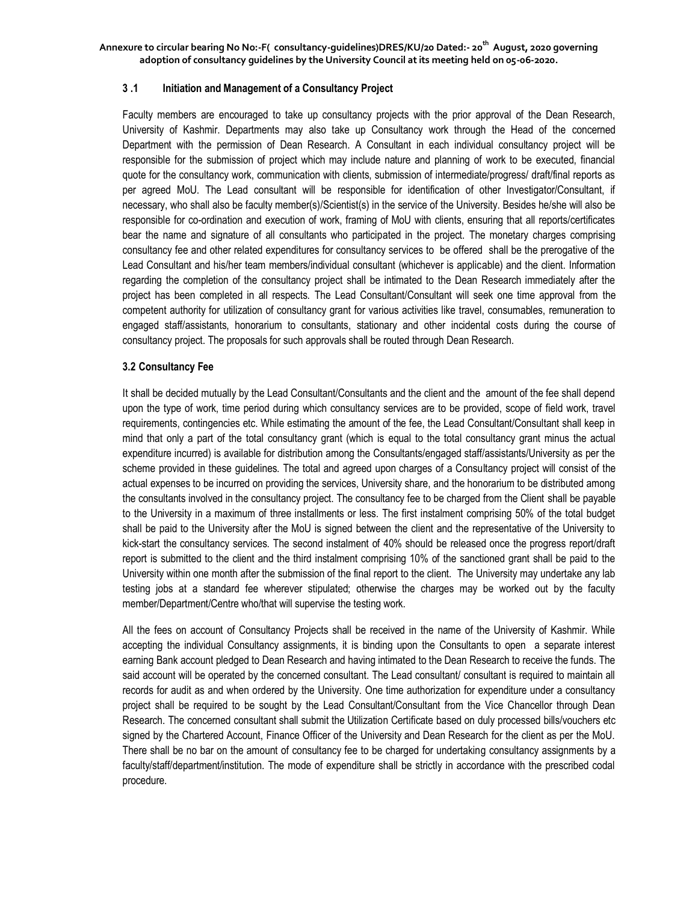### **3 .1 Initiation and Management of a Consultancy Project**

Faculty members are encouraged to take up consultancy projects with the prior approval of the Dean Research, University of Kashmir. Departments may also take up Consultancy work through the Head of the concerned Department with the permission of Dean Research. A Consultant in each individual consultancy project will be responsible for the submission of project which may include nature and planning of work to be executed, financial quote for the consultancy work, communication with clients, submission of intermediate/progress/ draft/final reports as per agreed MoU. The Lead consultant will be responsible for identification of other Investigator/Consultant, if necessary, who shall also be faculty member(s)/Scientist(s) in the service of the University. Besides he/she will also be responsible for co-ordination and execution of work, framing of MoU with clients, ensuring that all reports/certificates bear the name and signature of all consultants who participated in the project. The monetary charges comprising consultancy fee and other related expenditures for consultancy services to be offered shall be the prerogative of the Lead Consultant and his/her team members/individual consultant (whichever is applicable) and the client. Information regarding the completion of the consultancy project shall be intimated to the Dean Research immediately after the project has been completed in all respects. The Lead Consultant/Consultant will seek one time approval from the competent authority for utilization of consultancy grant for various activities like travel, consumables, remuneration to engaged staff/assistants, honorarium to consultants, stationary and other incidental costs during the course of consultancy project. The proposals for such approvals shall be routed through Dean Research.

#### **3.2 Consultancy Fee**

It shall be decided mutually by the Lead Consultant/Consultants and the client and the amount of the fee shall depend upon the type of work, time period during which consultancy services are to be provided, scope of field work, travel requirements, contingencies etc. While estimating the amount of the fee, the Lead Consultant/Consultant shall keep in mind that only a part of the total consultancy grant (which is equal to the total consultancy grant minus the actual expenditure incurred) is available for distribution among the Consultants/engaged staff/assistants/University as per the scheme provided in these guidelines. The total and agreed upon charges of a Consultancy project will consist of the actual expenses to be incurred on providing the services, University share, and the honorarium to be distributed among the consultants involved in the consultancy project. The consultancy fee to be charged from the Client shall be payable to the University in a maximum of three installments or less. The first instalment comprising 50% of the total budget shall be paid to the University after the MoU is signed between the client and the representative of the University to kick-start the consultancy services. The second instalment of 40% should be released once the progress report/draft report is submitted to the client and the third instalment comprising 10% of the sanctioned grant shall be paid to the University within one month after the submission of the final report to the client. The University may undertake any lab testing jobs at a standard fee wherever stipulated; otherwise the charges may be worked out by the faculty member/Department/Centre who/that will supervise the testing work.

All the fees on account of Consultancy Projects shall be received in the name of the University of Kashmir. While accepting the individual Consultancy assignments, it is binding upon the Consultants to open a separate interest earning Bank account pledged to Dean Research and having intimated to the Dean Research to receive the funds. The said account will be operated by the concerned consultant. The Lead consultant/ consultant is required to maintain all records for audit as and when ordered by the University. One time authorization for expenditure under a consultancy project shall be required to be sought by the Lead Consultant/Consultant from the Vice Chancellor through Dean Research. The concerned consultant shall submit the Utilization Certificate based on duly processed bills/vouchers etc signed by the Chartered Account, Finance Officer of the University and Dean Research for the client as per the MoU. There shall be no bar on the amount of consultancy fee to be charged for undertaking consultancy assignments by a faculty/staff/department/institution. The mode of expenditure shall be strictly in accordance with the prescribed codal procedure.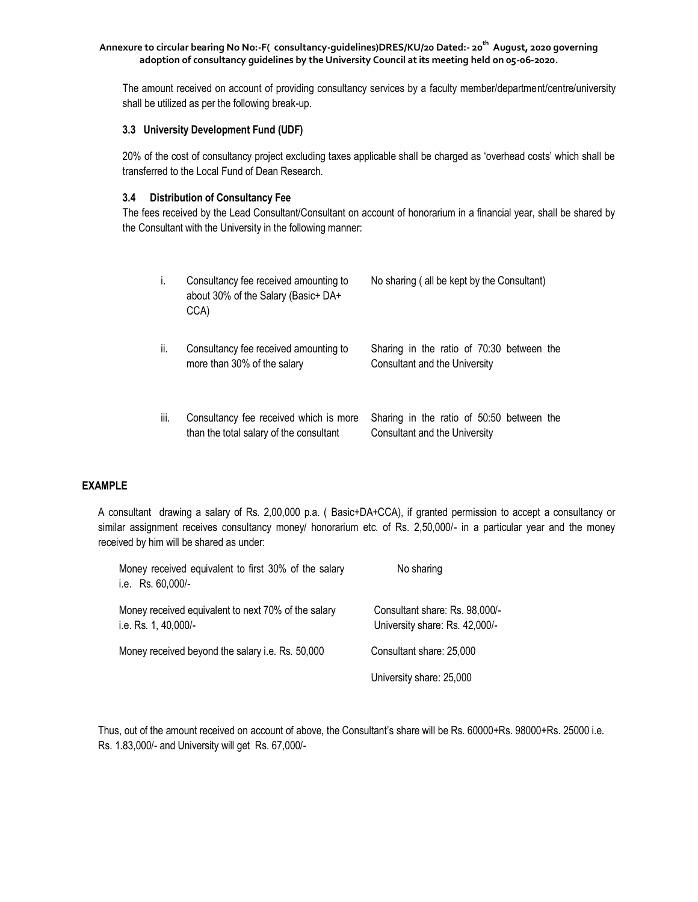The amount received on account of providing consultancy services by a faculty member/department/centre/university shall be utilized as per the following break-up.

## **3.3 University Development Fund (UDF)**

20% of the cost of consultancy project excluding taxes applicable shall be charged as 'overhead costs' which shall be transferred to the Local Fund of Dean Research.

# **3.4 Distribution of Consultancy Fee**

The fees received by the Lead Consultant/Consultant on account of honorarium in a financial year, shall be shared by the Consultant with the University in the following manner:

| i.   | Consultancy fee received amounting to<br>about 30% of the Salary (Basic+ DA+<br>CCA) | No sharing (all be kept by the Consultant)                                 |
|------|--------------------------------------------------------------------------------------|----------------------------------------------------------------------------|
| ii.  | Consultancy fee received amounting to<br>more than 30% of the salary                 | Sharing in the ratio of 70:30 between the<br>Consultant and the University |
| iii. | Consultancy fee received which is more<br>than the total salary of the consultant    | Sharing in the ratio of 50:50 between the<br>Consultant and the University |

### **EXAMPLE**

A consultant drawing a salary of Rs. 2,00,000 p.a. ( Basic+DA+CCA), if granted permission to accept a consultancy or similar assignment receives consultancy money/ honorarium etc. of Rs. 2,50,000/- in a particular year and the money received by him will be shared as under:

| Money received equivalent to first 30% of the salary<br>i.e. Rs. 60,000/-   | No sharing                                                       |
|-----------------------------------------------------------------------------|------------------------------------------------------------------|
| Money received equivalent to next 70% of the salary<br>i.e. Rs. 1, 40,000/- | Consultant share: Rs. 98,000/-<br>University share: Rs. 42,000/- |
| Money received beyond the salary i.e. Rs. 50,000                            | Consultant share: 25,000                                         |
|                                                                             | University share: 25,000                                         |

Thus, out of the amount received on account of above, the Consultant's share will be Rs. 60000+Rs. 98000+Rs. 25000 i.e. Rs. 1.83,000/- and University will get Rs. 67,000/-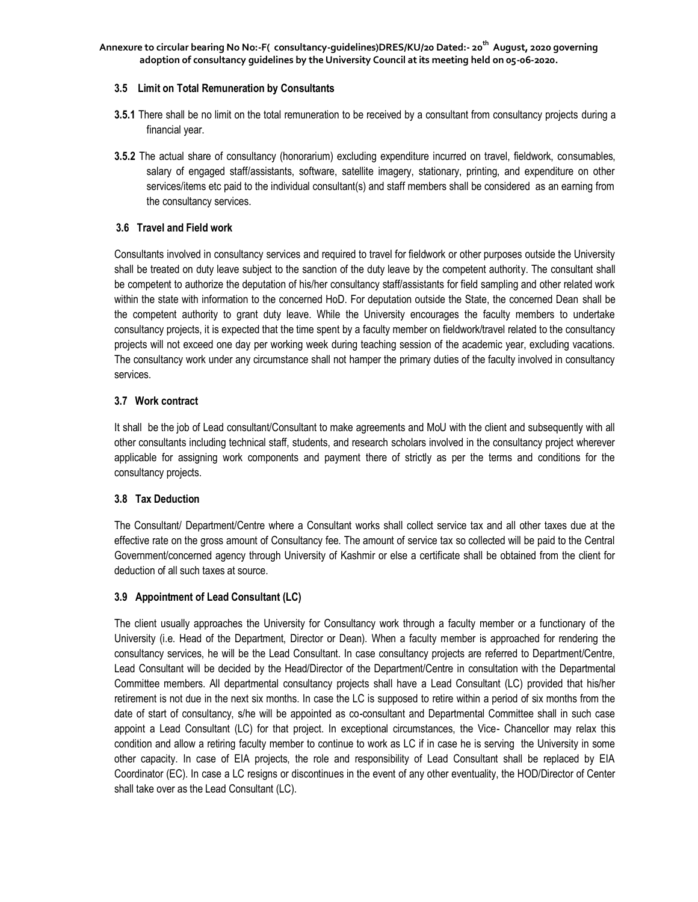# **3.5 Limit on Total Remuneration by Consultants**

- **3.5.1** There shall be no limit on the total remuneration to be received by a consultant from consultancy projects during a financial year.
- **3.5.2** The actual share of consultancy (honorarium) excluding expenditure incurred on travel, fieldwork, consumables, salary of engaged staff/assistants, software, satellite imagery, stationary, printing, and expenditure on other services/items etc paid to the individual consultant(s) and staff members shall be considered as an earning from the consultancy services.

## **3.6 Travel and Field work**

Consultants involved in consultancy services and required to travel for fieldwork or other purposes outside the University shall be treated on duty leave subject to the sanction of the duty leave by the competent authority. The consultant shall be competent to authorize the deputation of his/her consultancy staff/assistants for field sampling and other related work within the state with information to the concerned HoD. For deputation outside the State, the concerned Dean shall be the competent authority to grant duty leave. While the University encourages the faculty members to undertake consultancy projects, it is expected that the time spent by a faculty member on fieldwork/travel related to the consultancy projects will not exceed one day per working week during teaching session of the academic year, excluding vacations. The consultancy work under any circumstance shall not hamper the primary duties of the faculty involved in consultancy services.

# **3.7 Work contract**

It shall be the job of Lead consultant/Consultant to make agreements and MoU with the client and subsequently with all other consultants including technical staff, students, and research scholars involved in the consultancy project wherever applicable for assigning work components and payment there of strictly as per the terms and conditions for the consultancy projects.

### **3.8 Tax Deduction**

The Consultant/ Department/Centre where a Consultant works shall collect service tax and all other taxes due at the effective rate on the gross amount of Consultancy fee. The amount of service tax so collected will be paid to the Central Government/concerned agency through University of Kashmir or else a certificate shall be obtained from the client for deduction of all such taxes at source.

# **3.9 Appointment of Lead Consultant (LC)**

The client usually approaches the University for Consultancy work through a faculty member or a functionary of the University (i.e. Head of the Department, Director or Dean). When a faculty member is approached for rendering the consultancy services, he will be the Lead Consultant. In case consultancy projects are referred to Department/Centre, Lead Consultant will be decided by the Head/Director of the Department/Centre in consultation with the Departmental Committee members. All departmental consultancy projects shall have a Lead Consultant (LC) provided that his/her retirement is not due in the next six months. In case the LC is supposed to retire within a period of six months from the date of start of consultancy, s/he will be appointed as co-consultant and Departmental Committee shall in such case appoint a Lead Consultant (LC) for that project. In exceptional circumstances, the Vice- Chancellor may relax this condition and allow a retiring faculty member to continue to work as LC if in case he is serving the University in some other capacity. In case of EIA projects, the role and responsibility of Lead Consultant shall be replaced by EIA Coordinator (EC). In case a LC resigns or discontinues in the event of any other eventuality, the HOD/Director of Center shall take over as the Lead Consultant (LC).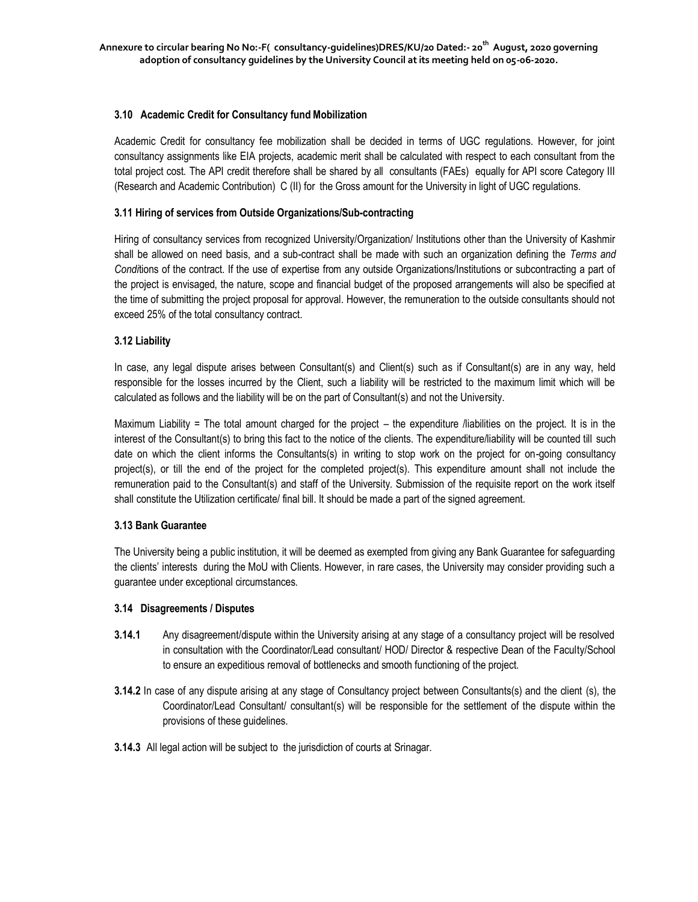# **3.10 Academic Credit for Consultancy fund Mobilization**

Academic Credit for consultancy fee mobilization shall be decided in terms of UGC regulations. However, for joint consultancy assignments like EIA projects, academic merit shall be calculated with respect to each consultant from the total project cost. The API credit therefore shall be shared by all consultants (FAEs) equally for API score Category III (Research and Academic Contribution) C (II) for the Gross amount for the University in light of UGC regulations.

# **3.11 Hiring of services from Outside Organizations/Sub-contracting**

Hiring of consultancy services from recognized University/Organization/ Institutions other than the University of Kashmir shall be allowed on need basis, and a sub-contract shall be made with such an organization defining the *Terms and Condi*tions of the contract. If the use of expertise from any outside Organizations/Institutions or subcontracting a part of the project is envisaged, the nature, scope and financial budget of the proposed arrangements will also be specified at the time of submitting the project proposal for approval. However, the remuneration to the outside consultants should not exceed 25% of the total consultancy contract.

# **3.12 Liability**

In case, any legal dispute arises between Consultant(s) and Client(s) such as if Consultant(s) are in any way, held responsible for the losses incurred by the Client, such a liability will be restricted to the maximum limit which will be calculated as follows and the liability will be on the part of Consultant(s) and not the University.

Maximum Liability = The total amount charged for the project – the expenditure /liabilities on the project. It is in the interest of the Consultant(s) to bring this fact to the notice of the clients. The expenditure/liability will be counted till such date on which the client informs the Consultants(s) in writing to stop work on the project for on-going consultancy project(s), or till the end of the project for the completed project(s). This expenditure amount shall not include the remuneration paid to the Consultant(s) and staff of the University. Submission of the requisite report on the work itself shall constitute the Utilization certificate/ final bill. It should be made a part of the signed agreement.

# **3.13 Bank Guarantee**

The University being a public institution, it will be deemed as exempted from giving any Bank Guarantee for safeguarding the clients' interests during the MoU with Clients. However, in rare cases, the University may consider providing such a guarantee under exceptional circumstances.

### **3.14 Disagreements / Disputes**

- **3.14.1** Any disagreement/dispute within the University arising at any stage of a consultancy project will be resolved in consultation with the Coordinator/Lead consultant/ HOD/ Director & respective Dean of the Faculty/School to ensure an expeditious removal of bottlenecks and smooth functioning of the project.
- **3.14.2** In case of any dispute arising at any stage of Consultancy project between Consultants(s) and the client (s), the Coordinator/Lead Consultant/ consultant(s) will be responsible for the settlement of the dispute within the provisions of these guidelines.
- **3.14.3** All legal action will be subject to the jurisdiction of courts at Srinagar.